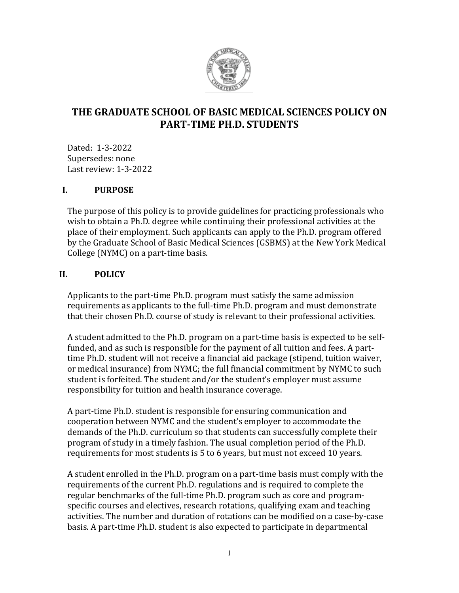

# **THE GRADUATE SCHOOL OF BASIC MEDICAL SCIENCES POLICY ON PART-TIME PH.D. STUDENTS**

Dated: 1-3-2022 Supersedes: none Last review: 1-3-2022

#### **I. PURPOSE**

The purpose of this policy is to provide guidelines for practicing professionals who wish to obtain a Ph.D. degree while continuing their professional activities at the place of their employment. Such applicants can apply to the Ph.D. program offered by the Graduate School of Basic Medical Sciences (GSBMS) at the New York Medical College (NYMC) on a part-time basis.

## **II. POLICY**

Applicants to the part-time Ph.D. program must satisfy the same admission requirements as applicants to the full-time Ph.D. program and must demonstrate that their chosen Ph.D. course of study is relevant to their professional activities.

A student admitted to the Ph.D. program on a part-time basis is expected to be selffunded, and as such is responsible for the payment of all tuition and fees. A parttime Ph.D. student will not receive a financial aid package (stipend, tuition waiver, or medical insurance) from NYMC; the full financial commitment by NYMC to such student is forfeited. The student and/or the student's employer must assume responsibility for tuition and health insurance coverage.

A part-time Ph.D. student is responsible for ensuring communication and cooperation between NYMC and the student's employer to accommodate the demands of the Ph.D. curriculum so that students can successfully complete their program of study in a timely fashion. The usual completion period of the Ph.D. requirements for most students is 5 to 6 years, but must not exceed 10 years.

A student enrolled in the Ph.D. program on a part-time basis must comply with the requirements of the current Ph.D. regulations and is required to complete the regular benchmarks of the full-time Ph.D. program such as core and programspecific courses and electives, research rotations, qualifying exam and teaching activities. The number and duration of rotations can be modified on a case-by-case basis. A part-time Ph.D. student is also expected to participate in departmental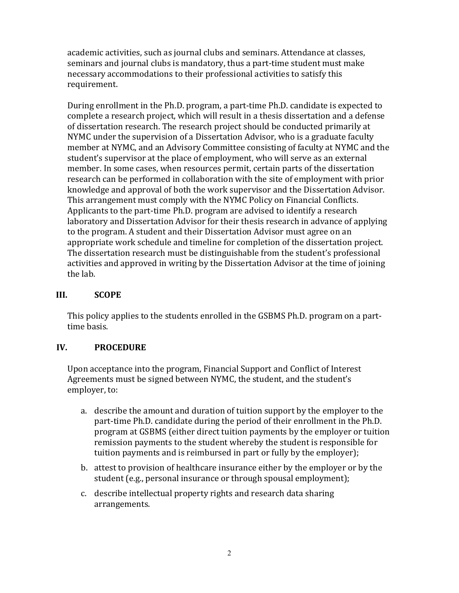academic activities, such as journal clubs and seminars. Attendance at classes, seminars and journal clubs is mandatory, thus a part-time student must make necessary accommodations to their professional activities to satisfy this requirement.

During enrollment in the Ph.D. program, a part-time Ph.D. candidate is expected to complete a research project, which will result in a thesis dissertation and a defense of dissertation research. The research project should be conducted primarily at NYMC under the supervision of a Dissertation Advisor, who is a graduate faculty member at NYMC, and an Advisory Committee consisting of faculty at NYMC and the student's supervisor at the place of employment, who will serve as an external member. In some cases, when resources permit, certain parts of the dissertation research can be performed in collaboration with the site of employment with prior knowledge and approval of both the work supervisor and the Dissertation Advisor. This arrangement must comply with the NYMC Policy on Financial Conflicts. Applicants to the part-time Ph.D. program are advised to identify a research laboratory and Dissertation Advisor for their thesis research in advance of applying to the program. A student and their Dissertation Advisor must agree on an appropriate work schedule and timeline for completion of the dissertation project. The dissertation research must be distinguishable from the student's professional activities and approved in writing by the Dissertation Advisor at the time of joining the lab.

#### **III. SCOPE**

This policy applies to the students enrolled in the GSBMS Ph.D. program on a parttime basis.

## **IV. PROCEDURE**

Upon acceptance into the program, Financial Support and Conflict of Interest Agreements must be signed between NYMC, the student, and the student's employer, to:

- a. describe the amount and duration of tuition support by the employer to the part-time Ph.D. candidate during the period of their enrollment in the Ph.D. program at GSBMS (either direct tuition payments by the employer or tuition remission payments to the student whereby the student is responsible for tuition payments and is reimbursed in part or fully by the employer);
- b. attest to provision of healthcare insurance either by the employer or by the student (e.g., personal insurance or through spousal employment);
- c. describe intellectual property rights and research data sharing arrangements.